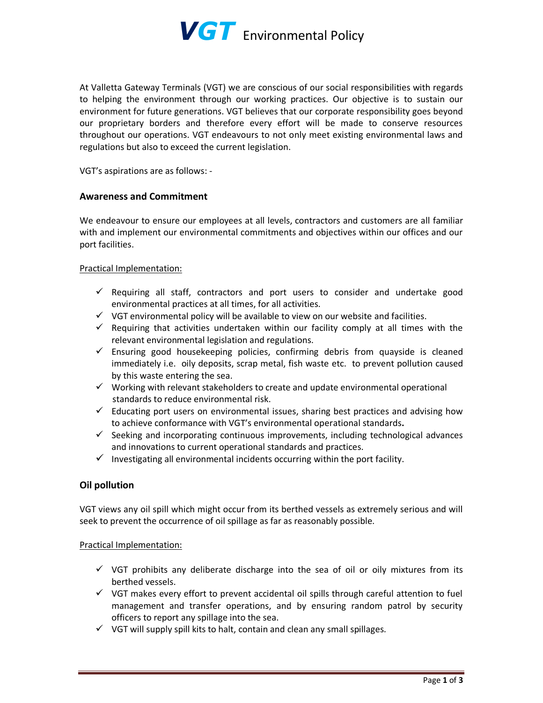

At Valletta Gateway Terminals (VGT) we are conscious of our social responsibilities with regards to helping the environment through our working practices. Our objective is to sustain our environment for future generations. VGT believes that our corporate responsibility goes beyond our proprietary borders and therefore every effort will be made to conserve resources throughout our operations. VGT endeavours to not only meet existing environmental laws and regulations but also to exceed the current legislation.

VGT's aspirations are as follows: -

## **Awareness and Commitment**

We endeavour to ensure our employees at all levels, contractors and customers are all familiar with and implement our environmental commitments and objectives within our offices and our port facilities.

### Practical Implementation:

- ✓ Requiring all staff, contractors and port users to consider and undertake good environmental practices at all times, for all activities.
- $\checkmark$  VGT environmental policy will be available to view on our website and facilities.
- $\checkmark$  Requiring that activities undertaken within our facility comply at all times with the relevant environmental legislation and regulations.
- $\checkmark$  Ensuring good housekeeping policies, confirming debris from quayside is cleaned immediately i.e. oily deposits, scrap metal, fish waste etc. to prevent pollution caused by this waste entering the sea.
- ✓ Working with relevant stakeholders to create and update environmental operational standards to reduce environmental risk.
- $\checkmark$  Educating port users on environmental issues, sharing best practices and advising how to achieve conformance with VGT's environmental operational standards**.**
- $\checkmark$  Seeking and incorporating continuous improvements, including technological advances and innovations to current operational standards and practices.
- $\checkmark$  Investigating all environmental incidents occurring within the port facility.

## **Oil pollution**

VGT views any oil spill which might occur from its berthed vessels as extremely serious and will seek to prevent the occurrence of oil spillage as far as reasonably possible.

#### Practical Implementation:

- $\checkmark$  VGT prohibits any deliberate discharge into the sea of oil or oily mixtures from its berthed vessels.
- $\checkmark$  VGT makes every effort to prevent accidental oil spills through careful attention to fuel management and transfer operations, and by ensuring random patrol by security officers to report any spillage into the sea.
- $\checkmark$  VGT will supply spill kits to halt, contain and clean any small spillages.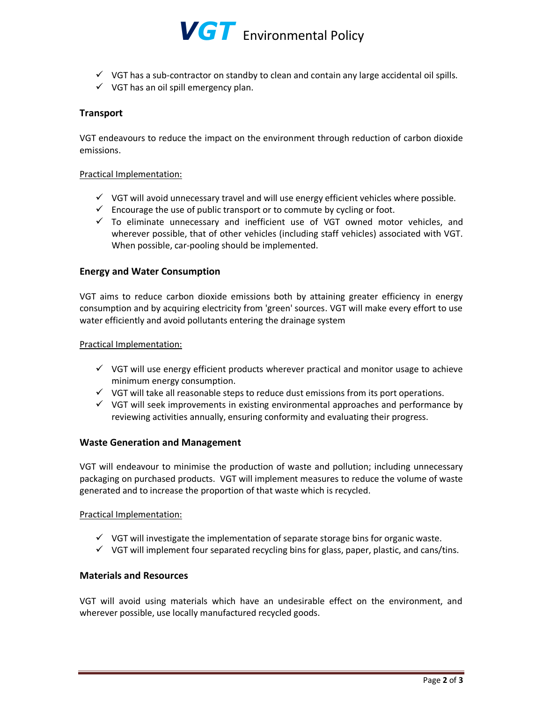

- $\checkmark$  VGT has a sub-contractor on standby to clean and contain any large accidental oil spills.
- $\checkmark$  VGT has an oil spill emergency plan.

## **Transport**

VGT endeavours to reduce the impact on the environment through reduction of carbon dioxide emissions.

### Practical Implementation:

- $\checkmark$  VGT will avoid unnecessary travel and will use energy efficient vehicles where possible.
- $\checkmark$  Encourage the use of public transport or to commute by cycling or foot.
- $\checkmark$  To eliminate unnecessary and inefficient use of VGT owned motor vehicles, and wherever possible, that of other vehicles (including staff vehicles) associated with VGT. When possible, car-pooling should be implemented.

## **Energy and Water Consumption**

VGT aims to reduce carbon dioxide emissions both by attaining greater efficiency in energy consumption and by acquiring electricity from 'green' sources. VGT will make every effort to use water efficiently and avoid pollutants entering the drainage system

#### Practical Implementation:

- $\checkmark$  VGT will use energy efficient products wherever practical and monitor usage to achieve minimum energy consumption.
- $\checkmark$  VGT will take all reasonable steps to reduce dust emissions from its port operations.
- $\checkmark$  VGT will seek improvements in existing environmental approaches and performance by reviewing activities annually, ensuring conformity and evaluating their progress.

#### **Waste Generation and Management**

VGT will endeavour to minimise the production of waste and pollution; including unnecessary packaging on purchased products. VGT will implement measures to reduce the volume of waste generated and to increase the proportion of that waste which is recycled.

#### Practical Implementation:

- $\checkmark$  VGT will investigate the implementation of separate storage bins for organic waste.
- $\checkmark$  VGT will implement four separated recycling bins for glass, paper, plastic, and cans/tins.

# **Materials and Resources**

VGT will avoid using materials which have an undesirable effect on the environment, and wherever possible, use locally manufactured recycled goods.